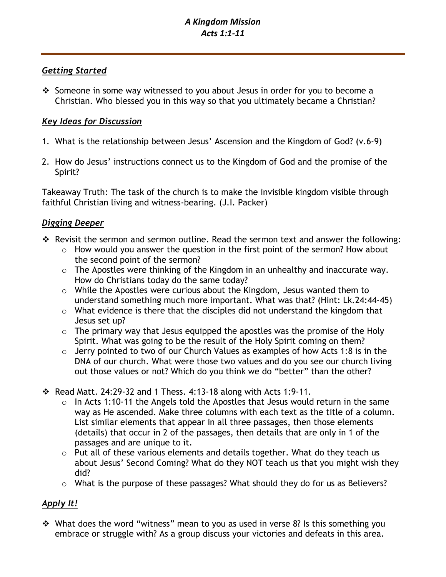## *Getting Started*

❖ Someone in some way witnessed to you about Jesus in order for you to become a Christian. Who blessed you in this way so that you ultimately became a Christian?

## *Key Ideas for Discussion*

- 1. What is the relationship between Jesus' Ascension and the Kingdom of God? (v.6-9)
- 2. How do Jesus' instructions connect us to the Kingdom of God and the promise of the Spirit?

Takeaway Truth: The task of the church is to make the invisible kingdom visible through faithful Christian living and witness-bearing. (J.I. Packer)

## *Digging Deeper*

- ❖ Revisit the sermon and sermon outline. Read the sermon text and answer the following:
	- o How would you answer the question in the first point of the sermon? How about the second point of the sermon?
	- o The Apostles were thinking of the Kingdom in an unhealthy and inaccurate way. How do Christians today do the same today?
	- o While the Apostles were curious about the Kingdom, Jesus wanted them to understand something much more important. What was that? (Hint: Lk.24:44-45)
	- o What evidence is there that the disciples did not understand the kingdom that Jesus set up?
	- o The primary way that Jesus equipped the apostles was the promise of the Holy Spirit. What was going to be the result of the Holy Spirit coming on them?
	- $\circ$  Jerry pointed to two of our Church Values as examples of how Acts 1:8 is in the DNA of our church. What were those two values and do you see our church living out those values or not? Which do you think we do "better" than the other?
- $\cdot$  Read Matt. 24:29-32 and 1 Thess. 4:13-18 along with Acts 1:9-11.
	- o In Acts 1:10-11 the Angels told the Apostles that Jesus would return in the same way as He ascended. Make three columns with each text as the title of a column. List similar elements that appear in all three passages, then those elements (details) that occur in 2 of the passages, then details that are only in 1 of the passages and are unique to it.
	- o Put all of these various elements and details together. What do they teach us about Jesus' Second Coming? What do they NOT teach us that you might wish they did?
	- o What is the purpose of these passages? What should they do for us as Believers?

# *Apply It!*

❖ What does the word "witness" mean to you as used in verse 8? Is this something you embrace or struggle with? As a group discuss your victories and defeats in this area.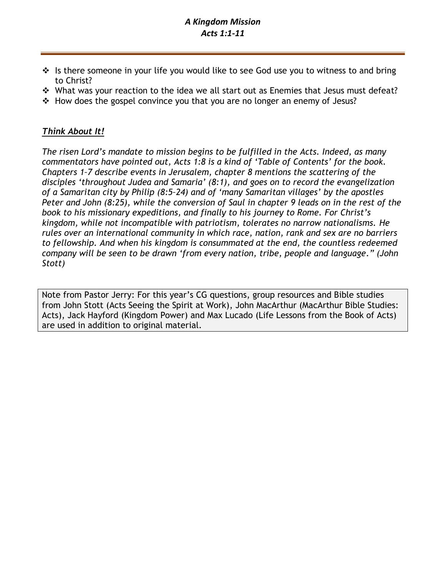## *A Kingdom Mission Acts 1:1-11*

- $\cdot \cdot$  Is there someone in your life you would like to see God use you to witness to and bring to Christ?
- ❖ What was your reaction to the idea we all start out as Enemies that Jesus must defeat?
- ❖ How does the gospel convince you that you are no longer an enemy of Jesus?

## *Think About It!*

*The risen Lord's mandate to mission begins to be fulfilled in the Acts. Indeed, as many commentators have pointed out, Acts 1:8 is a kind of 'Table of Contents' for the book. Chapters 1–7 describe events in Jerusalem, chapter 8 mentions the scattering of the disciples 'throughout Judea and Samaria' (8:1), and goes on to record the evangelization of a Samaritan city by Philip (8:5–24) and of 'many Samaritan villages' by the apostles Peter and John (8:25), while the conversion of Saul in chapter 9 leads on in the rest of the book to his missionary expeditions, and finally to his journey to Rome. For Christ's kingdom, while not incompatible with patriotism, tolerates no narrow nationalisms. He rules over an international community in which race, nation, rank and sex are no barriers to fellowship. And when his kingdom is consummated at the end, the countless redeemed company will be seen to be drawn 'from every nation, tribe, people and language." (John Stott)*

Note from Pastor Jerry: For this year's CG questions, group resources and Bible studies from John Stott (Acts Seeing the Spirit at Work), John MacArthur (MacArthur Bible Studies: Acts), Jack Hayford (Kingdom Power) and Max Lucado (Life Lessons from the Book of Acts) are used in addition to original material.